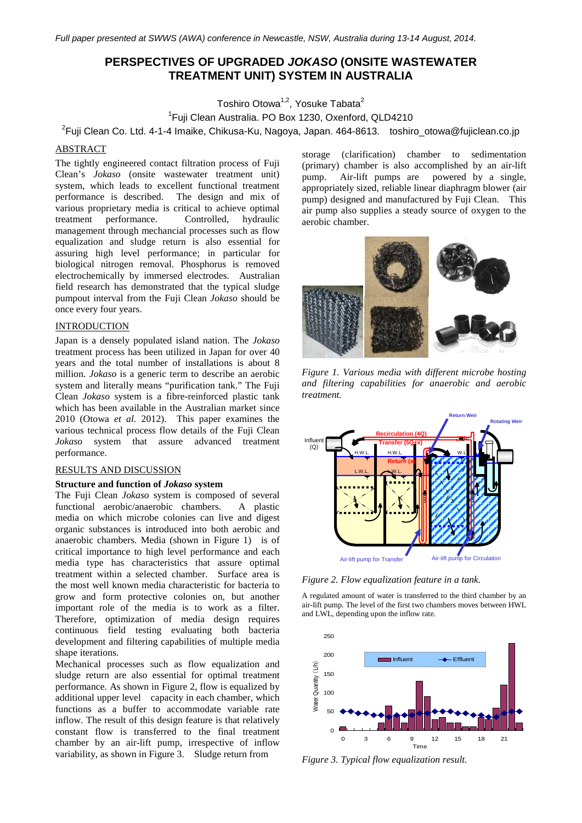# **PERSPECTIVES OF UPGRADED** *JOKASO* **(ONSITE WASTEWATER TREATMENT UNIT) SYSTEM IN AUSTRALIA**

Toshiro Otowa<sup>1,2</sup>, Yosuke Tabata<sup>2</sup>

1 Fuji Clean Australia. PO Box 1230, Oxenford, QLD4210

 $^{2}$ Fuji Clean Co. Ltd. 4-1-4 Imaike, Chikusa-Ku, Nagoya, Japan. 464-8613.  $\;$  toshiro\_otowa@fujiclean.co.jp

# ABSTRACT

The tightly engineered contact filtration process of Fuji Clean's *Jokaso* (onsite wastewater treatment unit) system, which leads to excellent functional treatment performance is described. The design and mix of various proprietary media is critical to achieve optimal<br>treatment performance. Controlled, hydraulic Controlled, hydraulic management through mechancial processes such as flow equalization and sludge return is also essential for assuring high level performance; in particular for biological nitrogen removal. Phosphorus is removed electrochemically by immersed electrodes. Australian field research has demonstrated that the typical sludge pumpout interval from the Fuji Clean *Jokaso* should be once every four years.

# INTRODUCTION

Japan is a densely populated island nation. The *Jokaso* treatment process has been utilized in Japan for over 40 years and the total number of installations is about 8 million. *Jokaso* is a generic term to describe an aerobic system and literally means "purification tank." The Fuji Clean *Jokaso* system is a fibre-reinforced plastic tank which has been available in the Australian market since 2010 (Otowa *et al.* 2012). This paper examines the various technical process flow details of the Fuji Clean *Jokaso* system that assure advanced treatment performance.

### RESULTS AND DISCUSSION

#### **Structure and function of** *Jokaso* **system**

The Fuji Clean *Jokaso* system is composed of several functional aerobic/anaerobic chambers. A plastic media on which microbe colonies can live and digest organic substances is introduced into both aerobic and anaerobic chambers. Media (shown in Figure 1) is of critical importance to high level performance and each media type has characteristics that assure optimal treatment within a selected chamber. Surface area is the most well known media characteristic for bacteria to grow and form protective colonies on, but another important role of the media is to work as a filter. Therefore, optimization of media design requires continuous field testing evaluating both bacteria development and filtering capabilities of multiple media shape iterations.

Mechanical processes such as flow equalization and sludge return are also essential for optimal treatment performance. As shown in Figure 2, flow is equalized by additional upper level capacity in each chamber, which functions as a buffer to accommodate variable rate inflow. The result of this design feature is that relatively constant flow is transferred to the final treatment chamber by an air-lift pump, irrespective of inflow variability, as shown in Figure 3. Sludge return from

storage (clarification) chamber to sedimentation (primary) chamber is also accomplished by an air-lift pump. Air-lift pumps are powered by a single, appropriately sized, reliable linear diaphragm blower (air pump) designed and manufactured by Fuji Clean. This air pump also supplies a steady source of oxygen to the aerobic chamber.



*Figure 1. Various media with different microbe hosting and filtering capabilities for anaerobic and aerobic treatment.*



*Figure 2. Flow equalization feature in a tank.*

A regulated amount of water is transferred to the third chamber by an air-lift pump. The level of the first two chambers moves between HWL and LWL, depending upon the inflow rate.



*Figure 3. Typical flow equalization result.*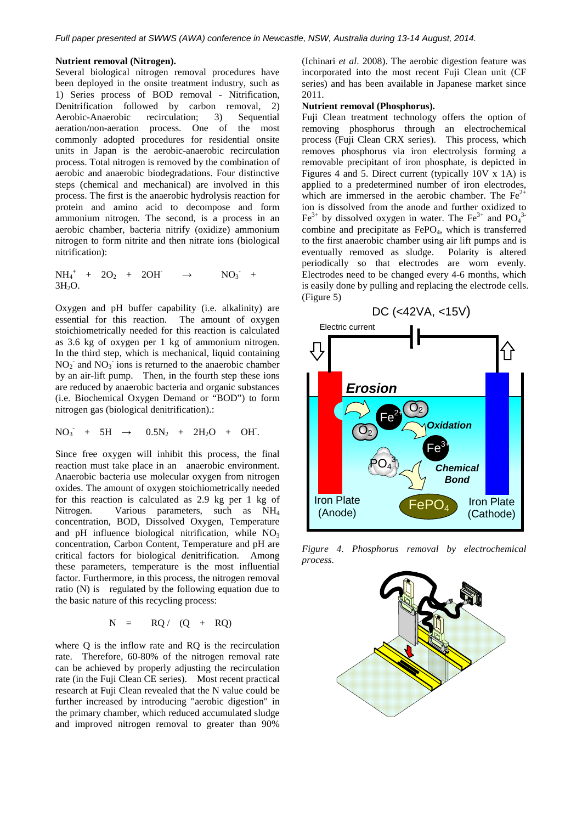### **Nutrient removal (Nitrogen).**

Several biological nitrogen removal procedures have been deployed in the onsite treatment industry, such as 1) Series process of BOD removal - Nitrification, Denitrification followed by carbon removal, 2)<br>Aerobic-Anaerobic recirculation; 3) Sequential Aerobic-Anaerobic recirculation; 3) aeration/non-aeration process. One of the most commonly adopted procedures for residential onsite units in Japan is the aerobic-anaerobic recirculation process. Total nitrogen is removed by the combination of aerobic and anaerobic biodegradations. Four distinctive steps (chemical and mechanical) are involved in this process. The first is the anaerobic hydrolysis reaction for protein and amino acid to decompose and form ammonium nitrogen. The second, is a process in an aerobic chamber, bacteria nitrify (oxidize) ammonium nitrogen to form nitrite and then nitrate ions (biological nitrification):

$$
NH_4^+ + 2O_2 + 2OH \rightarrow NO_3^+ + 3H_2O.
$$

Oxygen and pH buffer capability (i.e. alkalinity) are essential for this reaction. The amount of oxygen stoichiometrically needed for this reaction is calculated as 3.6 kg of oxygen per 1 kg of ammonium nitrogen. In the third step, which is mechanical, liquid containing  $NO<sub>2</sub>$  and  $NO<sub>3</sub>$  ions is returned to the anaerobic chamber by an air-lift pump. Then, in the fourth step these ions are reduced by anaerobic bacteria and organic substances (i.e. Biochemical Oxygen Demand or "BOD") to form nitrogen gas (biological denitrification).:

$$
NO_3^{\cdot} + 5H \rightarrow 0.5N_2 + 2H_2O + OH.
$$

Since free oxygen will inhibit this process, the final reaction must take place in an anaerobic environment. Anaerobic bacteria use molecular oxygen from nitrogen oxides. The amount of oxygen stoichiometrically needed for this reaction is calculated as 2.9 kg per 1 kg of Nitrogen. Various parameters, such as NH4 concentration, BOD, Dissolved Oxygen, Temperature and pH influence biological nitrification, while  $NO<sub>3</sub>$ concentration, Carbon Content, Temperature and pH are critical factors for biological *de*nitrification. Among these parameters, temperature is the most influential factor. Furthermore, in this process, the nitrogen removal ratio (N) is regulated by the following equation due to the basic nature of this recycling process:

$$
N = RQ / (Q + RQ)
$$

where Q is the inflow rate and RQ is the recirculation rate. Therefore, 60-80% of the nitrogen removal rate can be achieved by properly adjusting the recirculation rate (in the Fuji Clean CE series). Most recent practical research at Fuji Clean revealed that the N value could be further increased by introducing "aerobic digestion" in the primary chamber, which reduced accumulated sludge and improved nitrogen removal to greater than 90%

(Ichinari *et al*. 2008). The aerobic digestion feature was incorporated into the most recent Fuji Clean unit (CF series) and has been available in Japanese market since 2011.

#### **Nutrient removal (Phosphorus).**

Fuji Clean treatment technology offers the option of removing phosphorus through an electrochemical process (Fuji Clean CRX series). This process, which removes phosphorus via iron electrolysis forming a removable precipitant of iron phosphate, is depicted in Figures 4 and 5. Direct current (typically 10V x 1A) is applied to a predetermined number of iron electrodes, which are immersed in the aerobic chamber. The  $Fe<sup>2+</sup>$ ion is dissolved from the anode and further oxidized to  $\text{Fe}^{3+}$  by dissolved oxygen in water. The  $\text{Fe}^{3+}$  and  $\text{PO}_4^{3+}$ combine and precipitate as  $FePO<sub>4</sub>$ , which is transferred to the first anaerobic chamber using air lift pumps and is eventually removed as sludge. Polarity is altered periodically so that electrodes are worn evenly. Electrodes need to be changed every 4-6 months, which is easily done by pulling and replacing the electrode cells. (Figure 5)



*Figure 4. Phosphorus removal by electrochemical process.*

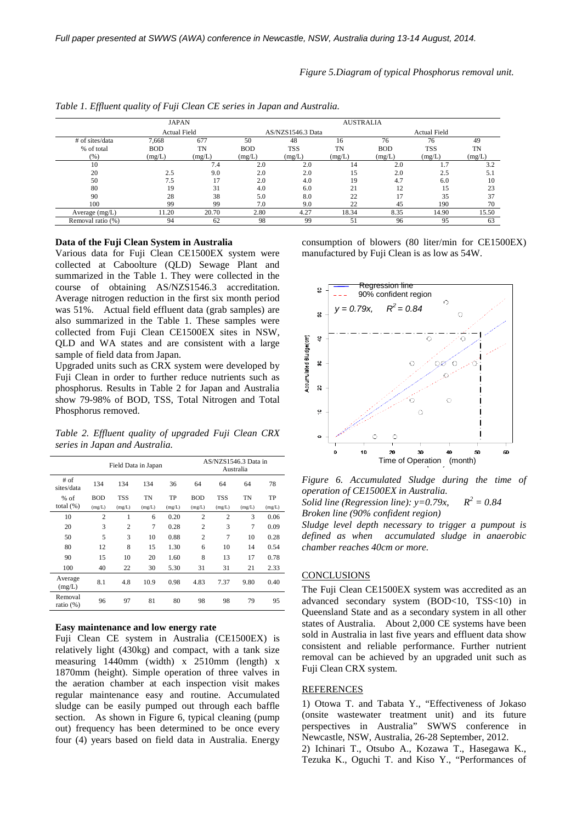*Figure 5.Diagram of typical Phosphorus removal unit.*

|                   | JAPAN        |           |            |                   | <b>AUSTRALIA</b> |                     |            |           |  |  |  |
|-------------------|--------------|-----------|------------|-------------------|------------------|---------------------|------------|-----------|--|--|--|
|                   | Actual Field |           |            | AS/NZS1546.3 Data |                  | <b>Actual Field</b> |            |           |  |  |  |
| # of sites/data   | 7,668        | 677       | 50         | 48                | 16               | 76                  | 76         | 49        |  |  |  |
| % of total        | <b>BOD</b>   | <b>TN</b> | <b>BOD</b> | <b>TSS</b>        | <b>TN</b>        | <b>BOD</b>          | <b>TSS</b> | <b>TN</b> |  |  |  |
| (%)               | (mg/L)       | (mg/L)    | (mg/L)     | (mg/L)            | (mg/L)           | (mg/L)              | (mg/L)     | (mg/L)    |  |  |  |
| 10                |              | 7.4       | 2.0        | 2.0               | 14               | 2.0                 | 1.7        | 3.2       |  |  |  |
| 20                | 2.5          | 9.0       | 2.0        | 2.0               | 15               | 2.0                 | 2.5        | 5.1       |  |  |  |
| 50                | 7.5          |           | 2.0        | 4.0               | 19               | 4.7                 | 6.0        | 10        |  |  |  |
| 80                | 19           | 31        | 4.0        | 6.0               | 21               | 12                  | 15         | 23        |  |  |  |
| 90                | 28           | 38        | 5.0        | 8.0               | 22               | 17                  | 35         | 37        |  |  |  |
| 100               | 99           | 99        | 7.0        | 9.0               | 22               | 45                  | 190        | 70        |  |  |  |
| Average (mg/L)    | 11.20        | 20.70     | 2.80       | 4.27              | 18.34            | 8.35                | 14.90      | 15.50     |  |  |  |
| Removal ratio (%) | 94           | 62        | 98         | 99                | 51               | 96                  | 95         | 63        |  |  |  |

*Table 1. Effluent quality of Fuji Clean CE series in Japan and Australia.*

#### **Data of the Fuji Clean System in Australia**

Various data for Fuji Clean CE1500EX system were collected at Caboolture (QLD) Sewage Plant and summarized in the Table 1. They were collected in the course of obtaining AS/NZS1546.3 accreditation. Average nitrogen reduction in the first six month period was 51%. Actual field effluent data (grab samples) are also summarized in the Table 1. These samples were collected from Fuji Clean CE1500EX sites in NSW, QLD and WA states and are consistent with a large sample of field data from Japan.

Upgraded units such as CRX system were developed by Fuji Clean in order to further reduce nutrients such as phosphorus. Results in Table 2 for Japan and Australia show 79-98% of BOD, TSS, Total Nitrogen and Total Phosphorus removed.

*Table 2. Effluent quality of upgraded Fuji Clean CRX series in Japan and Australia.*

|                         | Field Data in Japan |                |                |        | AS/NZS1546.3 Data in<br>Australia |                |        |        |
|-------------------------|---------------------|----------------|----------------|--------|-----------------------------------|----------------|--------|--------|
| # of<br>sites/data      | 134                 | 134            | 134            | 36     | 64                                | 64             | 64     | 78     |
| $%$ of                  | <b>BOD</b>          | <b>TSS</b>     | TN             | TP     | <b>BOD</b>                        | <b>TSS</b>     | TN     | TP     |
| total $(\% )$           | (mg/L)              | (mg/L)         | (mg/L)         | (mg/L) | (mg/L)                            | (mg/L)         | (mg/L) | (mg/L) |
| 10                      | $\overline{2}$      | 1              | 6              | 0.20   | $\overline{2}$                    | $\overline{c}$ | 3      | 0.06   |
| 20                      | 3                   | $\overline{c}$ | $\overline{7}$ | 0.28   | $\overline{c}$                    | 3              | 7      | 0.09   |
| 50                      | 5                   | 3              | 10             | 0.88   | $\overline{c}$                    | $\overline{7}$ | 10     | 0.28   |
| 80                      | 12                  | 8              | 15             | 1.30   | 6                                 | 10             | 14     | 0.54   |
| 90                      | 15                  | 10             | 20             | 1.60   | 8                                 | 13             | 17     | 0.78   |
| 100                     | 40                  | 22             | 30             | 5.30   | 31                                | 31             | 21     | 2.33   |
| Average<br>(mg/L)       | 8.1                 | 4.8            | 10.9           | 0.98   | 4.83                              | 7.37           | 9.80   | 0.40   |
| Removal<br>ratio $(\%)$ | 96                  | 97             | 81             | 80     | 98                                | 98             | 79     | 95     |

### **Easy maintenance and low energy rate**

Fuji Clean CE system in Australia (CE1500EX) is relatively light (430kg) and compact, with a tank size measuring 1440mm (width) x 2510mm (length) x 1870mm (height). Simple operation of three valves in the aeration chamber at each inspection visit makes regular maintenance easy and routine. Accumulated sludge can be easily pumped out through each baffle section. As shown in Figure 6, typical cleaning (pump) out) frequency has been determined to be once every four (4) years based on field data in Australia. Energy

consumption of blowers (80 liter/min for CE1500EX) manufactured by Fuji Clean is as low as 54W.



*Figure 6. Accumulated Sludge during the time of operation of CE1500EX in Australia. Solid line (Regression line):*  $y=0.79x$ ,  $R^2 = 0.84$ *Broken line (90% confident region)*

*Sludge level depth necessary to trigger a pumpout is defined as when accumulated sludge in anaerobic chamber reaches 40cm or more.*

### **CONCLUSIONS**

The Fuji Clean CE1500EX system was accredited as an advanced secondary system (BOD<10, TSS<10) in Queensland State and as a secondary system in all other states of Australia. About 2,000 CE systems have been sold in Australia in last five years and effluent data show consistent and reliable performance. Further nutrient removal can be achieved by an upgraded unit such as Fuji Clean CRX system.

### REFERENCES

1) Otowa T. and Tabata Y., "Effectiveness of Jokaso (onsite wastewater treatment unit) and its future perspectives in Australia" SWWS conference in Newcastle, NSW, Australia, 26-28 September, 2012.

2) Ichinari T., Otsubo A., Kozawa T., Hasegawa K., Tezuka K., Oguchi T. and Kiso Y., "Performances of